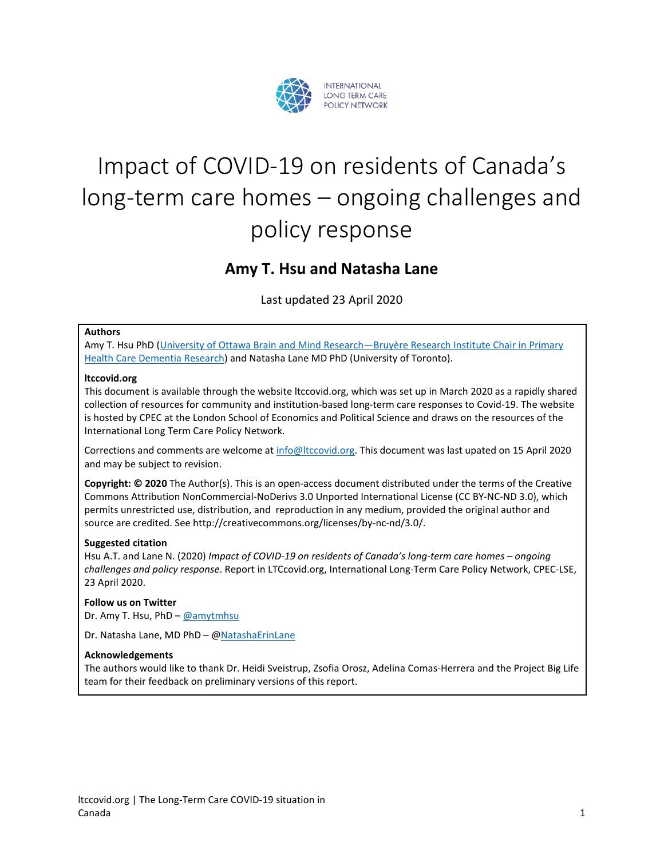

# Impact of COVID-19 on residents of Canada's long-term care homes – ongoing challenges and policy response

# **Amy T. Hsu and Natasha Lane**

Last updated 23 April 2020

#### **Authors**

Amy T. Hsu PhD (University of Ottawa Brain and Mind Research—Bruyère Research Institute Chair in Primary [Health Care Dementia Research\)](https://bruyere.uniweb.network/members/84/profile) and Natasha Lane MD PhD (University of Toronto).

#### **ltccovid.org**

This document is available through the website ltccovid.org, which was set up in March 2020 as a rapidly shared collection of resources for community and institution-based long-term care responses to Covid-19. The website is hosted by CPEC at the London School of Economics and Political Science and draws on the resources of the International Long Term Care Policy Network.

Corrections and comments are welcome at [info@ltccovid.org.](mailto:info@ltccovid.org) This document was last upated on 15 April 2020 and may be subject to revision.

**Copyright: © 2020** The Author(s). This is an open-access document distributed under the terms of the Creative Commons Attribution NonCommercial-NoDerivs 3.0 Unported International License (CC BY-NC-ND 3.0), which permits unrestricted use, distribution, and reproduction in any medium, provided the original author and source are credited. See http://creativecommons.org/licenses/by-nc-nd/3.0/.

#### **Suggested citation**

Hsu A.T. and Lane N. (2020) *Impact of COVID-19 on residents of Canada's long-term care homes – ongoing challenges and policy response*. Report in LTCcovid.org, International Long-Term Care Policy Network, CPEC-LSE, 23 April 2020.

#### **Follow us on Twitter**

Dr. Amy T. Hsu, PhD – [@amytmhsu](https://twitter.com/amytmhsu)

Dr. Natasha Lane, MD PhD – [@NatashaErinLane](https://twitter.com/NatashaErinLane)

#### **Acknowledgements**

The authors would like to thank Dr. Heidi Sveistrup, Zsofia Orosz, Adelina Comas-Herrera and the Project Big Life team for their feedback on preliminary versions of this report.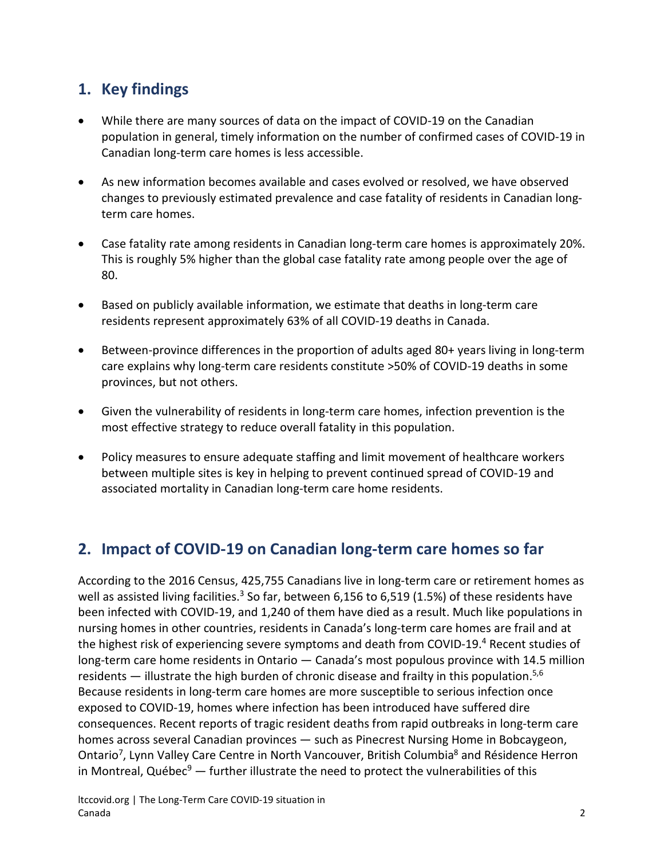# **1. Key findings**

- While there are many sources of data on the impact of COVID-19 on the Canadian population in general, timely information on the number of confirmed cases of COVID-19 in Canadian long-term care homes is less accessible.
- As new information becomes available and cases evolved or resolved, we have observed changes to previously estimated prevalence and case fatality of residents in Canadian longterm care homes.
- Case fatality rate among residents in Canadian long-term care homes is approximately 20%. This is roughly 5% higher than the global case fatality rate among people over the age of 80.
- Based on publicly available information, we estimate that deaths in long-term care residents represent approximately 63% of all COVID-19 deaths in Canada.
- Between-province differences in the proportion of adults aged 80+ years living in long-term care explains why long-term care residents constitute >50% of COVID-19 deaths in some provinces, but not others.
- Given the vulnerability of residents in long-term care homes, infection prevention is the most effective strategy to reduce overall fatality in this population.
- Policy measures to ensure adequate staffing and limit movement of healthcare workers between multiple sites is key in helping to prevent continued spread of COVID-19 and associated mortality in Canadian long-term care home residents.

# **2. Impact of COVID-19 on Canadian long-term care homes so far**

According to the 2016 Census, 425,755 Canadians live in long-term care or retirement homes as well as assisted living facilities.<sup>3</sup> So far, between 6,156 to 6,519 (1.5%) of these residents have been infected with COVID-19, and 1,240 of them have died as a result. Much like populations in nursing homes in other countries, residents in Canada's long-term care homes are frail and at the highest risk of experiencing severe symptoms and death from COVID-19.<sup>4</sup> Recent studies of long-term care home residents in Ontario — Canada's most populous province with 14.5 million residents — illustrate the high burden of chronic disease and frailty in this population.<sup>5,6</sup> Because residents in long-term care homes are more susceptible to serious infection once exposed to COVID-19, homes where infection has been introduced have suffered dire consequences. Recent reports of tragic resident deaths from rapid outbreaks in long-term care homes across several Canadian provinces — such as Pinecrest Nursing Home in Bobcaygeon, Ontario<sup>7</sup>, Lynn Valley Care Centre in North Vancouver, British Columbia<sup>8</sup> and Résidence Herron in Montreal, Québec<sup>9</sup>  $-$  further illustrate the need to protect the vulnerabilities of this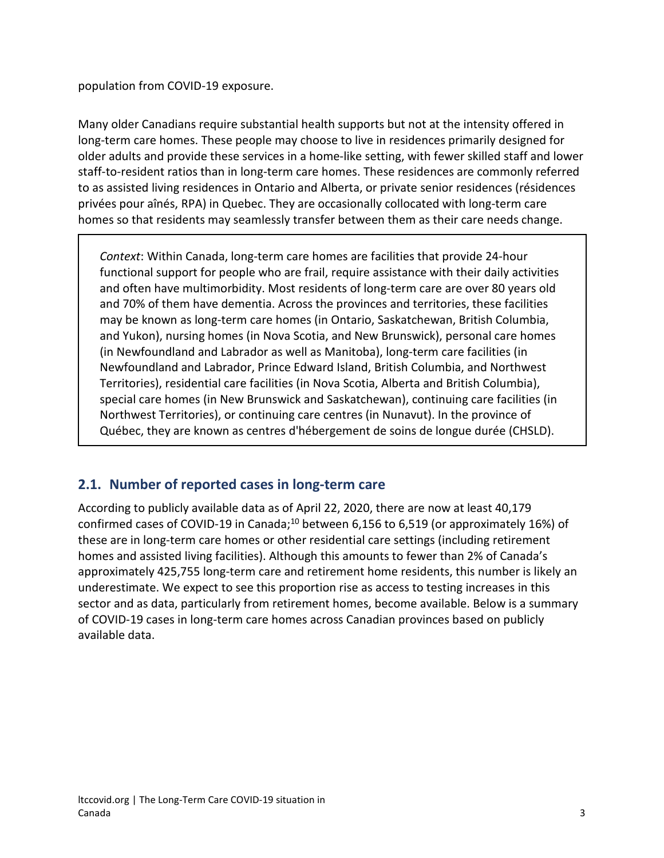population from COVID-19 exposure.

Many older Canadians require substantial health supports but not at the intensity offered in long-term care homes. These people may choose to live in residences primarily designed for older adults and provide these services in a home-like setting, with fewer skilled staff and lower staff-to-resident ratios than in long-term care homes. These residences are commonly referred to as assisted living residences in Ontario and Alberta, or private senior residences (résidences privées pour aînés, RPA) in Quebec. They are occasionally collocated with long-term care homes so that residents may seamlessly transfer between them as their care needs change.

*Context*: Within Canada, long-term care homes are facilities that provide 24-hour functional support for people who are frail, require assistance with their daily activities and often have multimorbidity. Most residents of long-term care are over 80 years old and 70% of them have dementia. Across the provinces and territories, these facilities may be known as long-term care homes (in Ontario, Saskatchewan, British Columbia, and Yukon), nursing homes (in Nova Scotia, and New Brunswick), personal care homes (in Newfoundland and Labrador as well as Manitoba), long-term care facilities (in Newfoundland and Labrador, Prince Edward Island, British Columbia, and Northwest Territories), residential care facilities (in Nova Scotia, Alberta and British Columbia), special care homes (in New Brunswick and Saskatchewan), continuing care facilities (in Northwest Territories), or continuing care centres (in Nunavut). In the province of Québec, they are known as centres d'hébergement de soins de longue durée (CHSLD).

## **2.1. Number of reported cases in long-term care**

According to publicly available data as of April 22, 2020, there are now at least 40,179 confirmed cases of COVID-19 in Canada;<sup>10</sup> between 6,156 to 6,519 (or approximately 16%) of these are in long-term care homes or other residential care settings (including retirement homes and assisted living facilities). Although this amounts to fewer than 2% of Canada's approximately 425,755 long-term care and retirement home residents, this number is likely an underestimate. We expect to see this proportion rise as access to testing increases in this sector and as data, particularly from retirement homes, become available. Below is a summary of COVID-19 cases in long-term care homes across Canadian provinces based on publicly available data.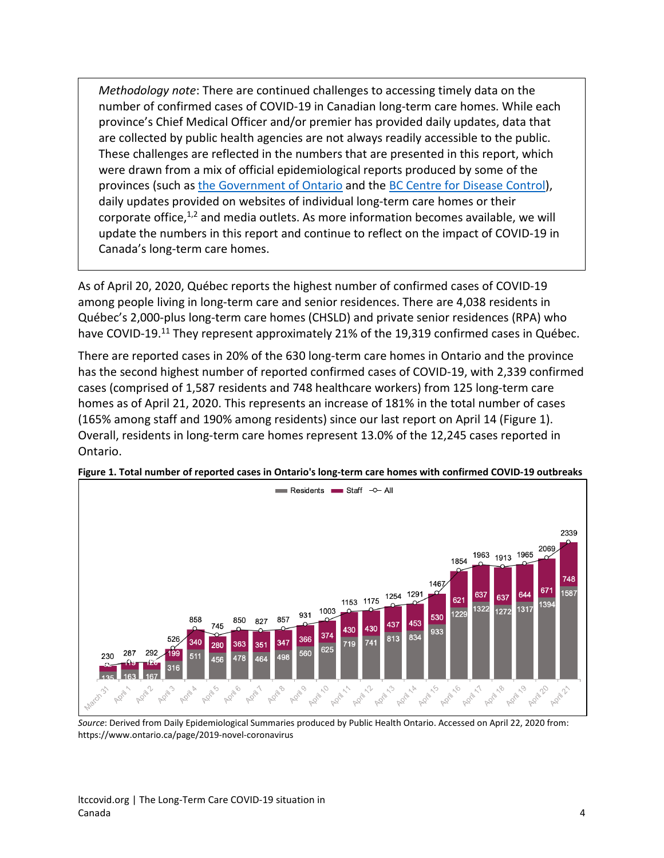*Methodology note*: There are continued challenges to accessing timely data on the number of confirmed cases of COVID-19 in Canadian long-term care homes. While each province's Chief Medical Officer and/or premier has provided daily updates, data that are collected by public health agencies are not always readily accessible to the public. These challenges are reflected in the numbers that are presented in this report, which were drawn from a mix of official epidemiological reports produced by some of the provinces (such a[s the Government of Ontario](https://www.ontario.ca/page/2019-novel-coronavirus#section-0) and th[e BC Centre for Disease Control\)](http://www.bccdc.ca/health-info/diseases-conditions/covid-19/case-counts-press-statements), daily updates provided on websites of individual long-term care homes or their corporate office, $1,2$  and media outlets. As more information becomes available, we will update the numbers in this report and continue to reflect on the impact of COVID-19 in Canada's long-term care homes.

As of April 20, 2020, Québec reports the highest number of confirmed cases of COVID-19 among people living in long-term care and senior residences. There are 4,038 residents in Québec's 2,000-plus long-term care homes (CHSLD) and private senior residences (RPA) who have COVID-19.<sup>11</sup> They represent approximately 21% of the 19,319 confirmed cases in Québec.

There are reported cases in 20% of the 630 long-term care homes in Ontario and the province has the second highest number of reported confirmed cases of COVID-19, with 2,339 confirmed cases (comprised of 1,587 residents and 748 healthcare workers) from 125 long-term care homes as of April 21, 2020. This represents an increase of 181% in the total number of cases (165% among staff and 190% among residents) since our last report on April 14 (Figure 1). Overall, residents in long-term care homes represent 13.0% of the 12,245 cases reported in Ontario.



**Figure 1. Total number of reported cases in Ontario's long-term care homes with confirmed COVID-19 outbreaks**

*Source*: Derived from Daily Epidemiological Summaries produced by Public Health Ontario. Accessed on April 22, 2020 from: https://www.ontario.ca/page/2019-novel-coronavirus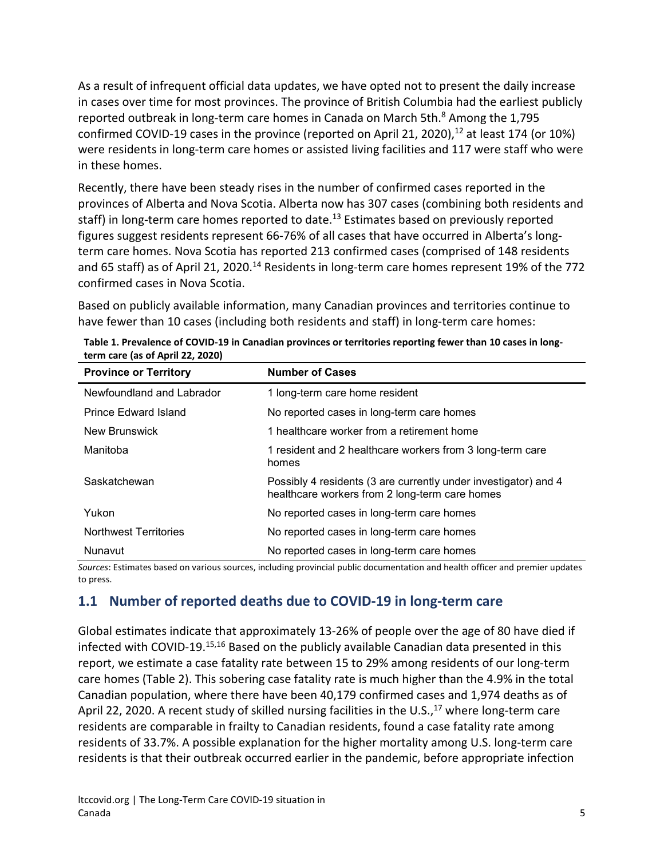As a result of infrequent official data updates, we have opted not to present the daily increase in cases over time for most provinces. The province of British Columbia had the earliest publicly reported outbreak in long-term care homes in Canada on March 5th.<sup>8</sup> Among the 1,795 confirmed COVID-19 cases in the province (reported on April 21, 2020), $^{12}$  at least 174 (or 10%) were residents in long-term care homes or assisted living facilities and 117 were staff who were in these homes.

Recently, there have been steady rises in the number of confirmed cases reported in the provinces of Alberta and Nova Scotia. Alberta now has 307 cases (combining both residents and staff) in long-term care homes reported to date.<sup>13</sup> Estimates based on previously reported figures suggest residents represent 66-76% of all cases that have occurred in Alberta's longterm care homes. Nova Scotia has reported 213 confirmed cases (comprised of 148 residents and 65 staff) as of April 21, 2020.<sup>14</sup> Residents in long-term care homes represent 19% of the 772 confirmed cases in Nova Scotia.

Based on publicly available information, many Canadian provinces and territories continue to have fewer than 10 cases (including both residents and staff) in long-term care homes:

| <b>Province or Territory</b> | <b>Number of Cases</b>                                                                                            |
|------------------------------|-------------------------------------------------------------------------------------------------------------------|
| Newfoundland and Labrador    | 1 long-term care home resident                                                                                    |
| Prince Edward Island         | No reported cases in long-term care homes                                                                         |
| New Brunswick                | 1 healthcare worker from a retirement home                                                                        |
| Manitoba                     | 1 resident and 2 healthcare workers from 3 long-term care<br>homes                                                |
| Saskatchewan                 | Possibly 4 residents (3 are currently under investigator) and 4<br>healthcare workers from 2 long-term care homes |
| Yukon                        | No reported cases in long-term care homes                                                                         |
| <b>Northwest Territories</b> | No reported cases in long-term care homes                                                                         |
| Nunavut                      | No reported cases in long-term care homes                                                                         |

| Table 1. Prevalence of COVID-19 in Canadian provinces or territories reporting fewer than 10 cases in long- |
|-------------------------------------------------------------------------------------------------------------|
| term care (as of April 22, 2020)                                                                            |

*Sources*: Estimates based on various sources, including provincial public documentation and health officer and premier updates to press.

## **1.1 Number of reported deaths due to COVID-19 in long-term care**

Global estimates indicate that approximately 13-26% of people over the age of 80 have died if infected with COVID-19.15,16 Based on the publicly available Canadian data presented in this report, we estimate a case fatality rate between 15 to 29% among residents of our long-term care homes (Table 2). This sobering case fatality rate is much higher than the 4.9% in the total Canadian population, where there have been 40,179 confirmed cases and 1,974 deaths as of April 22, 2020. A recent study of skilled nursing facilities in the U.S., $^{17}$  where long-term care residents are comparable in frailty to Canadian residents, found a case fatality rate among residents of 33.7%. A possible explanation for the higher mortality among U.S. long-term care residents is that their outbreak occurred earlier in the pandemic, before appropriate infection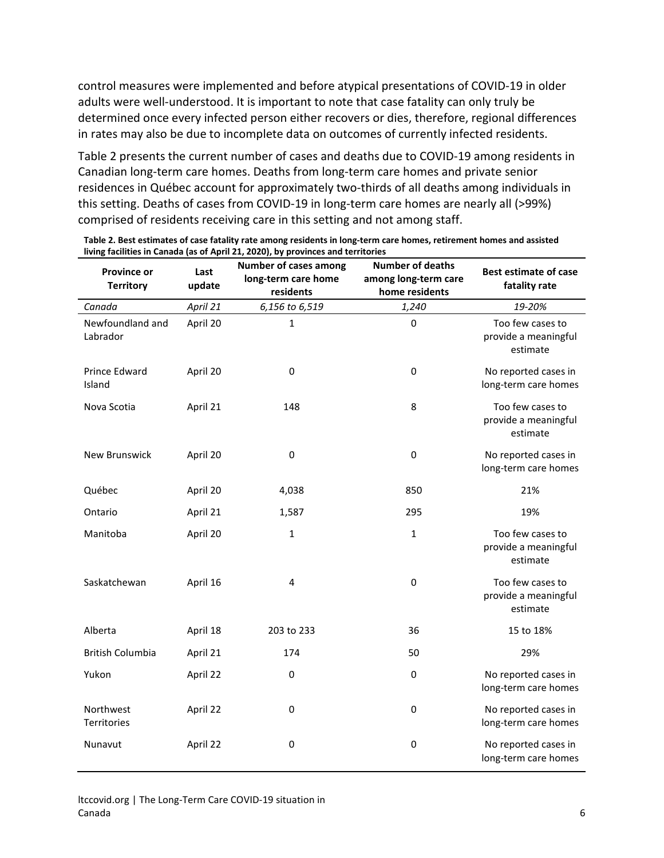control measures were implemented and before atypical presentations of COVID-19 in older adults were well-understood. It is important to note that case fatality can only truly be determined once every infected person either recovers or dies, therefore, regional differences in rates may also be due to incomplete data on outcomes of currently infected residents.

Table 2 presents the current number of cases and deaths due to COVID-19 among residents in Canadian long-term care homes. Deaths from long-term care homes and private senior residences in Québec account for approximately two-thirds of all deaths among individuals in this setting. Deaths of cases from COVID-19 in long-term care homes are nearly all (>99%) comprised of residents receiving care in this setting and not among staff.

| <b>Province or</b><br><b>Territory</b> | Last<br>update | <b>Number of cases among</b><br>long-term care home<br>residents | <b>Number of deaths</b><br>among long-term care<br>home residents | <b>Best estimate of case</b><br>fatality rate        |
|----------------------------------------|----------------|------------------------------------------------------------------|-------------------------------------------------------------------|------------------------------------------------------|
| Canada                                 | April 21       | 6,156 to 6,519                                                   | 1,240                                                             | 19-20%                                               |
| Newfoundland and<br>Labrador           | April 20       | $\mathbf 1$                                                      | $\mathsf 0$                                                       | Too few cases to<br>provide a meaningful<br>estimate |
| Prince Edward<br>Island                | April 20       | $\pmb{0}$                                                        | $\mathsf 0$                                                       | No reported cases in<br>long-term care homes         |
| Nova Scotia                            | April 21       | 148                                                              | 8                                                                 | Too few cases to<br>provide a meaningful<br>estimate |
| New Brunswick                          | April 20       | $\mathbf 0$                                                      | 0                                                                 | No reported cases in<br>long-term care homes         |
| Québec                                 | April 20       | 4,038                                                            | 850                                                               | 21%                                                  |
| Ontario                                | April 21       | 1,587                                                            | 295                                                               | 19%                                                  |
| Manitoba                               | April 20       | $\mathbf 1$                                                      | $\mathbf{1}$                                                      | Too few cases to<br>provide a meaningful<br>estimate |
| Saskatchewan                           | April 16       | $\overline{\mathbf{4}}$                                          | $\mathsf 0$                                                       | Too few cases to<br>provide a meaningful<br>estimate |
| Alberta                                | April 18       | 203 to 233                                                       | 36                                                                | 15 to 18%                                            |
| <b>British Columbia</b>                | April 21       | 174                                                              | 50                                                                | 29%                                                  |
| Yukon                                  | April 22       | 0                                                                | $\pmb{0}$                                                         | No reported cases in<br>long-term care homes         |
| Northwest<br>Territories               | April 22       | $\mathbf 0$                                                      | $\pmb{0}$                                                         | No reported cases in<br>long-term care homes         |
| Nunavut                                | April 22       | 0                                                                | $\pmb{0}$                                                         | No reported cases in<br>long-term care homes         |

**Table 2. Best estimates of case fatality rate among residents in long-term care homes, retirement homes and assisted living facilities in Canada (as of April 21, 2020), by provinces and territories**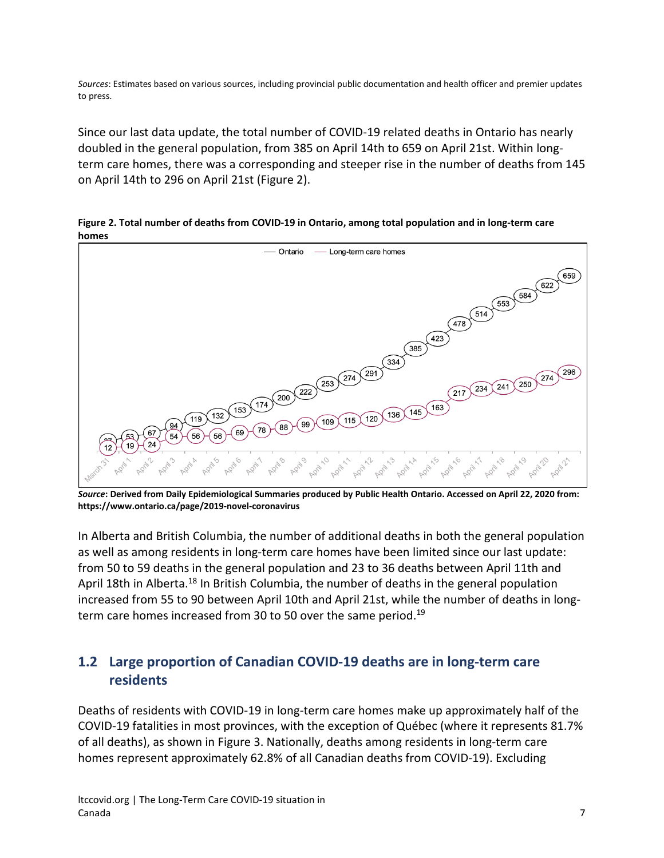*Sources*: Estimates based on various sources, including provincial public documentation and health officer and premier updates to press.

Since our last data update, the total number of COVID-19 related deaths in Ontario has nearly doubled in the general population, from 385 on April 14th to 659 on April 21st. Within longterm care homes, there was a corresponding and steeper rise in the number of deaths from 145 on April 14th to 296 on April 21st (Figure 2).

**Figure 2. Total number of deaths from COVID-19 in Ontario, among total population and in long-term care homes**



*Source***: Derived from Daily Epidemiological Summaries produced by Public Health Ontario. Accessed on April 22, 2020 from: https://www.ontario.ca/page/2019-novel-coronavirus**

In Alberta and British Columbia, the number of additional deaths in both the general population as well as among residents in long-term care homes have been limited since our last update: from 50 to 59 deaths in the general population and 23 to 36 deaths between April 11th and April 18th in Alberta.<sup>18</sup> In British Columbia, the number of deaths in the general population increased from 55 to 90 between April 10th and April 21st, while the number of deaths in longterm care homes increased from 30 to 50 over the same period.<sup>19</sup>

## **1.2 Large proportion of Canadian COVID-19 deaths are in long-term care residents**

Deaths of residents with COVID-19 in long-term care homes make up approximately half of the COVID-19 fatalities in most provinces, with the exception of Québec (where it represents 81.7% of all deaths), as shown in Figure 3. Nationally, deaths among residents in long-term care homes represent approximately 62.8% of all Canadian deaths from COVID-19). Excluding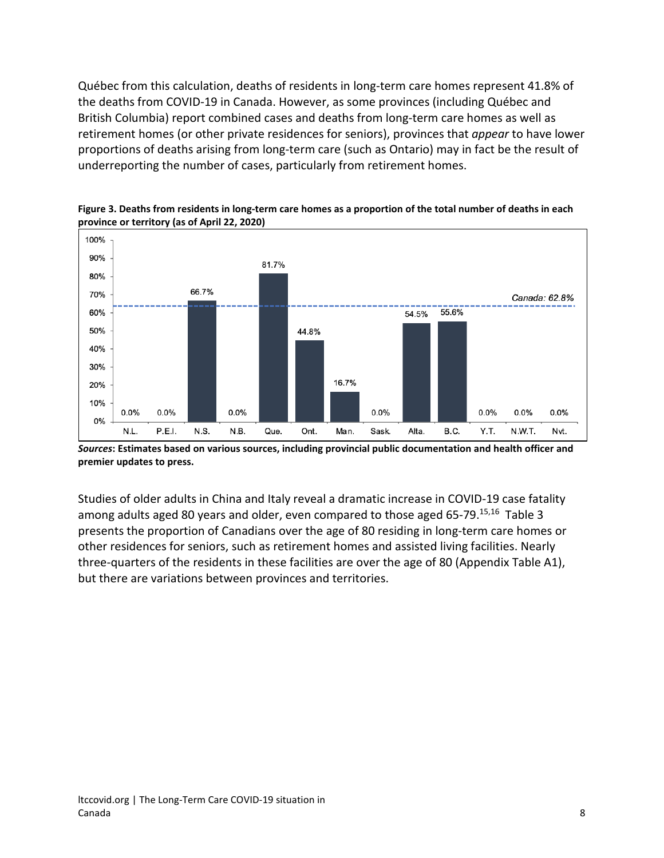Québec from this calculation, deaths of residents in long-term care homes represent 41.8% of the deaths from COVID-19 in Canada. However, as some provinces (including Québec and British Columbia) report combined cases and deaths from long-term care homes as well as retirement homes (or other private residences for seniors), provinces that *appear* to have lower proportions of deaths arising from long-term care (such as Ontario) may in fact be the result of underreporting the number of cases, particularly from retirement homes.



**Figure 3. Deaths from residents in long-term care homes as a proportion of the total number of deaths in each province or territory (as of April 22, 2020)**

*Sources***: Estimates based on various sources, including provincial public documentation and health officer and premier updates to press.**

Studies of older adults in China and Italy reveal a dramatic increase in COVID-19 case fatality among adults aged 80 years and older, even compared to those aged 65-79.<sup>15,16</sup> Table 3 presents the proportion of Canadians over the age of 80 residing in long-term care homes or other residences for seniors, such as retirement homes and assisted living facilities. Nearly three-quarters of the residents in these facilities are over the age of 80 (Appendix Table A1), but there are variations between provinces and territories.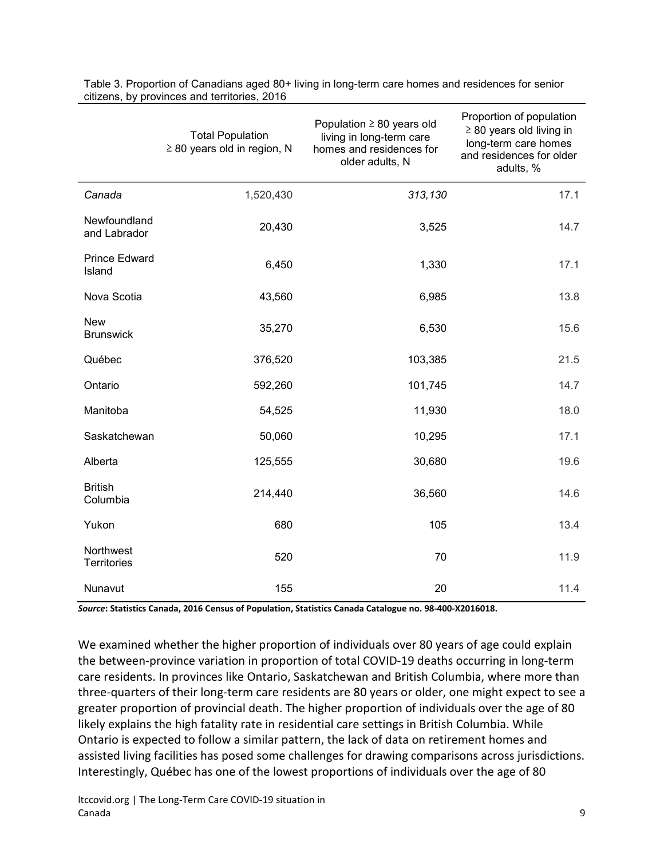|                                 | <b>Total Population</b><br>$\geq$ 80 years old in region, N | Population $\geq 80$ years old<br>living in long-term care<br>homes and residences for<br>older adults, N | Proportion of population<br>$\geq$ 80 years old living in<br>long-term care homes<br>and residences for older<br>adults, % |
|---------------------------------|-------------------------------------------------------------|-----------------------------------------------------------------------------------------------------------|----------------------------------------------------------------------------------------------------------------------------|
| Canada                          | 1,520,430                                                   | 313,130                                                                                                   | 17.1                                                                                                                       |
| Newfoundland<br>and Labrador    | 20,430                                                      | 3,525                                                                                                     | 14.7                                                                                                                       |
| <b>Prince Edward</b><br>Island  | 6,450                                                       | 1,330                                                                                                     | 17.1                                                                                                                       |
| Nova Scotia                     | 43,560                                                      | 6,985                                                                                                     | 13.8                                                                                                                       |
| <b>New</b><br><b>Brunswick</b>  | 35,270                                                      | 6,530                                                                                                     | 15.6                                                                                                                       |
| Québec                          | 376,520                                                     | 103,385                                                                                                   | 21.5                                                                                                                       |
| Ontario                         | 592,260                                                     | 101,745                                                                                                   | 14.7                                                                                                                       |
| Manitoba                        | 54,525                                                      | 11,930                                                                                                    | 18.0                                                                                                                       |
| Saskatchewan                    | 50,060                                                      | 10,295                                                                                                    | 17.1                                                                                                                       |
| Alberta                         | 125,555                                                     | 30,680                                                                                                    | 19.6                                                                                                                       |
| <b>British</b><br>Columbia      | 214,440                                                     | 36,560                                                                                                    | 14.6                                                                                                                       |
| Yukon                           | 680                                                         | 105                                                                                                       | 13.4                                                                                                                       |
| Northwest<br><b>Territories</b> | 520                                                         | 70                                                                                                        | 11.9                                                                                                                       |
| Nunavut                         | 155                                                         | 20                                                                                                        | 11.4                                                                                                                       |

Table 3. Proportion of Canadians aged 80+ living in long-term care homes and residences for senior citizens, by provinces and territories, 2016

*Source***: Statistics Canada, 2016 Census of Population, Statistics Canada Catalogue no. 98-400-X2016018.**

We examined whether the higher proportion of individuals over 80 years of age could explain the between-province variation in proportion of total COVID-19 deaths occurring in long-term care residents. In provinces like Ontario, Saskatchewan and British Columbia, where more than three-quarters of their long-term care residents are 80 years or older, one might expect to see a greater proportion of provincial death. The higher proportion of individuals over the age of 80 likely explains the high fatality rate in residential care settings in British Columbia. While Ontario is expected to follow a similar pattern, the lack of data on retirement homes and assisted living facilities has posed some challenges for drawing comparisons across jurisdictions. Interestingly, Québec has one of the lowest proportions of individuals over the age of 80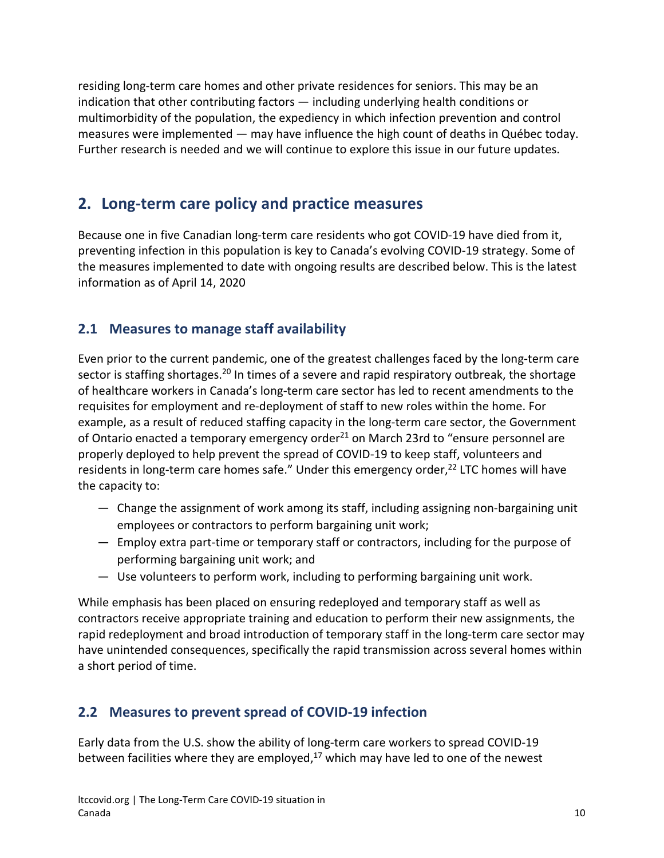residing long-term care homes and other private residences for seniors. This may be an indication that other contributing factors — including underlying health conditions or multimorbidity of the population, the expediency in which infection prevention and control measures were implemented — may have influence the high count of deaths in Québec today. Further research is needed and we will continue to explore this issue in our future updates.

# **2. Long-term care policy and practice measures**

Because one in five Canadian long-term care residents who got COVID-19 have died from it, preventing infection in this population is key to Canada's evolving COVID-19 strategy. Some of the measures implemented to date with ongoing results are described below. This is the latest information as of April 14, 2020

## **2.1 Measures to manage staff availability**

Even prior to the current pandemic, one of the greatest challenges faced by the long-term care sector is staffing shortages.<sup>20</sup> In times of a severe and rapid respiratory outbreak, the shortage of healthcare workers in Canada's long-term care sector has led to recent amendments to the requisites for employment and re-deployment of staff to new roles within the home. For example, as a result of reduced staffing capacity in the long-term care sector, the Government of Ontario enacted a temporary emergency order<sup>21</sup> on March 23rd to "ensure personnel are properly deployed to help prevent the spread of COVID-19 to keep staff, volunteers and residents in long-term care homes safe." Under this emergency order, $^{22}$  LTC homes will have the capacity to:

- Change the assignment of work among its staff, including assigning non-bargaining unit employees or contractors to perform bargaining unit work;
- Employ extra part-time or temporary staff or contractors, including for the purpose of performing bargaining unit work; and
- Use volunteers to perform work, including to performing bargaining unit work.

While emphasis has been placed on ensuring redeployed and temporary staff as well as contractors receive appropriate training and education to perform their new assignments, the rapid redeployment and broad introduction of temporary staff in the long-term care sector may have unintended consequences, specifically the rapid transmission across several homes within a short period of time.

## **2.2 Measures to prevent spread of COVID-19 infection**

Early data from the U.S. show the ability of long-term care workers to spread COVID-19 between facilities where they are employed, $17$  which may have led to one of the newest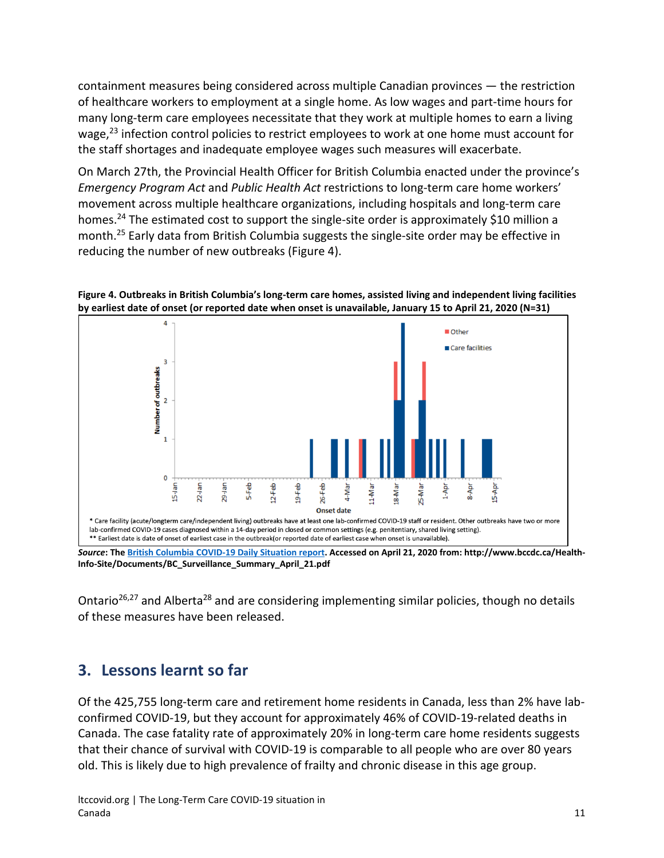containment measures being considered across multiple Canadian provinces — the restriction of healthcare workers to employment at a single home. As low wages and part-time hours for many long-term care employees necessitate that they work at multiple homes to earn a living wage,<sup>23</sup> infection control policies to restrict employees to work at one home must account for the staff shortages and inadequate employee wages such measures will exacerbate.

On March 27th, the Provincial Health Officer for British Columbia enacted under the province's *Emergency Program Act* and *Public Health Act* restrictions to long-term care home workers' movement across multiple healthcare organizations, including hospitals and long-term care homes.<sup>24</sup> The estimated cost to support the single-site order is approximately \$10 million a month.25 Early data from British Columbia suggests the single-site order may be effective in reducing the number of new outbreaks (Figure 4).





*Source***: Th[e British Columbia COVID-19 Daily Situation report.](http://www.bccdc.ca/health-info/diseases-conditions/covid-19/case-counts-press-statements) Accessed on April 21, 2020 from: http://www.bccdc.ca/Health-Info-Site/Documents/BC\_Surveillance\_Summary\_April\_21.pdf**

Ontario<sup>26,27</sup> and Alberta<sup>28</sup> and are considering implementing similar policies, though no details of these measures have been released.

## **3. Lessons learnt so far**

Of the 425,755 long-term care and retirement home residents in Canada, less than 2% have labconfirmed COVID-19, but they account for approximately 46% of COVID-19-related deaths in Canada. The case fatality rate of approximately 20% in long-term care home residents suggests that their chance of survival with COVID-19 is comparable to all people who are over 80 years old. This is likely due to high prevalence of frailty and chronic disease in this age group.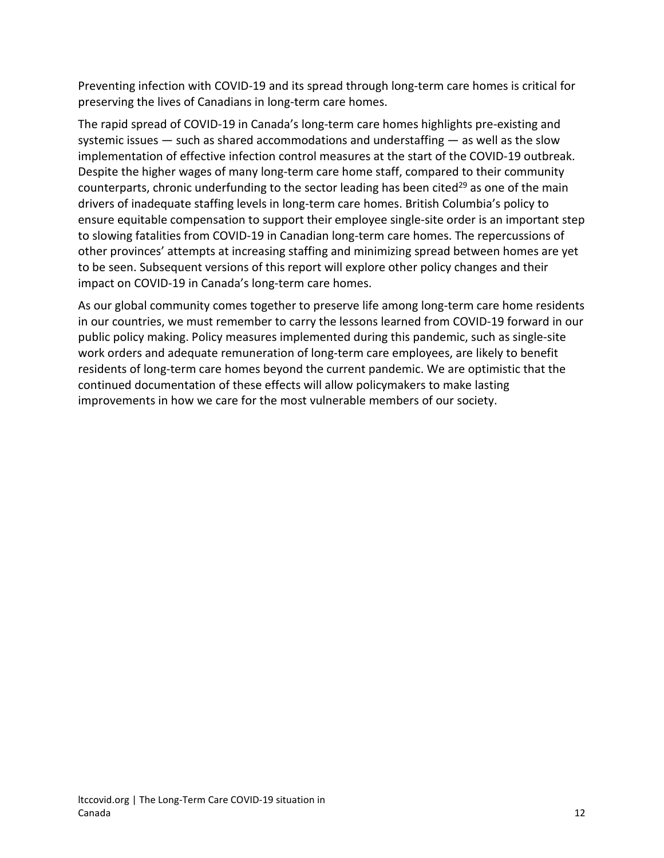Preventing infection with COVID-19 and its spread through long-term care homes is critical for preserving the lives of Canadians in long-term care homes.

The rapid spread of COVID-19 in Canada's long-term care homes highlights pre-existing and systemic issues — such as shared accommodations and understaffing — as well as the slow implementation of effective infection control measures at the start of the COVID-19 outbreak. Despite the higher wages of many long-term care home staff, compared to their community counterparts, chronic underfunding to the sector leading has been cited<sup>29</sup> as one of the main drivers of inadequate staffing levels in long-term care homes. British Columbia's policy to ensure equitable compensation to support their employee single-site order is an important step to slowing fatalities from COVID-19 in Canadian long-term care homes. The repercussions of other provinces' attempts at increasing staffing and minimizing spread between homes are yet to be seen. Subsequent versions of this report will explore other policy changes and their impact on COVID-19 in Canada's long-term care homes.

As our global community comes together to preserve life among long-term care home residents in our countries, we must remember to carry the lessons learned from COVID-19 forward in our public policy making. Policy measures implemented during this pandemic, such as single-site work orders and adequate remuneration of long-term care employees, are likely to benefit residents of long-term care homes beyond the current pandemic. We are optimistic that the continued documentation of these effects will allow policymakers to make lasting improvements in how we care for the most vulnerable members of our society.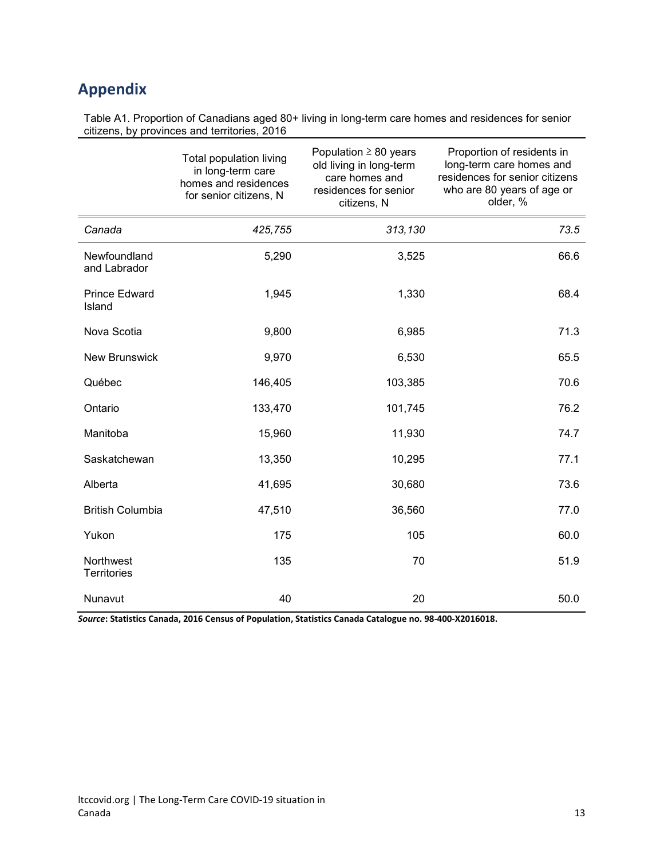# **Appendix**

Table A1. Proportion of Canadians aged 80+ living in long-term care homes and residences for senior citizens, by provinces and territories, 2016

|                                 | Total population living<br>in long-term care<br>homes and residences<br>for senior citizens, N | Population $\geq 80$ years<br>old living in long-term<br>care homes and<br>residences for senior<br>citizens, N | Proportion of residents in<br>long-term care homes and<br>residences for senior citizens<br>who are 80 years of age or<br>older, % |
|---------------------------------|------------------------------------------------------------------------------------------------|-----------------------------------------------------------------------------------------------------------------|------------------------------------------------------------------------------------------------------------------------------------|
| Canada                          | 425,755                                                                                        | 313,130                                                                                                         | 73.5                                                                                                                               |
| Newfoundland<br>and Labrador    | 5,290                                                                                          | 3,525                                                                                                           | 66.6                                                                                                                               |
| <b>Prince Edward</b><br>Island  | 1,945                                                                                          | 1,330                                                                                                           | 68.4                                                                                                                               |
| Nova Scotia                     | 9,800                                                                                          | 6,985                                                                                                           | 71.3                                                                                                                               |
| <b>New Brunswick</b>            | 9,970                                                                                          | 6,530                                                                                                           | 65.5                                                                                                                               |
| Québec                          | 146,405                                                                                        | 103,385                                                                                                         | 70.6                                                                                                                               |
| Ontario                         | 133,470                                                                                        | 101,745                                                                                                         | 76.2                                                                                                                               |
| Manitoba                        | 15,960                                                                                         | 11,930                                                                                                          | 74.7                                                                                                                               |
| Saskatchewan                    | 13,350                                                                                         | 10,295                                                                                                          | 77.1                                                                                                                               |
| Alberta                         | 41,695                                                                                         | 30,680                                                                                                          | 73.6                                                                                                                               |
| <b>British Columbia</b>         | 47,510                                                                                         | 36,560                                                                                                          | 77.0                                                                                                                               |
| Yukon                           | 175                                                                                            | 105                                                                                                             | 60.0                                                                                                                               |
| Northwest<br><b>Territories</b> | 135                                                                                            | 70                                                                                                              | 51.9                                                                                                                               |
| Nunavut                         | 40                                                                                             | 20                                                                                                              | 50.0                                                                                                                               |

*Source***: Statistics Canada, 2016 Census of Population, Statistics Canada Catalogue no. 98-400-X2016018.**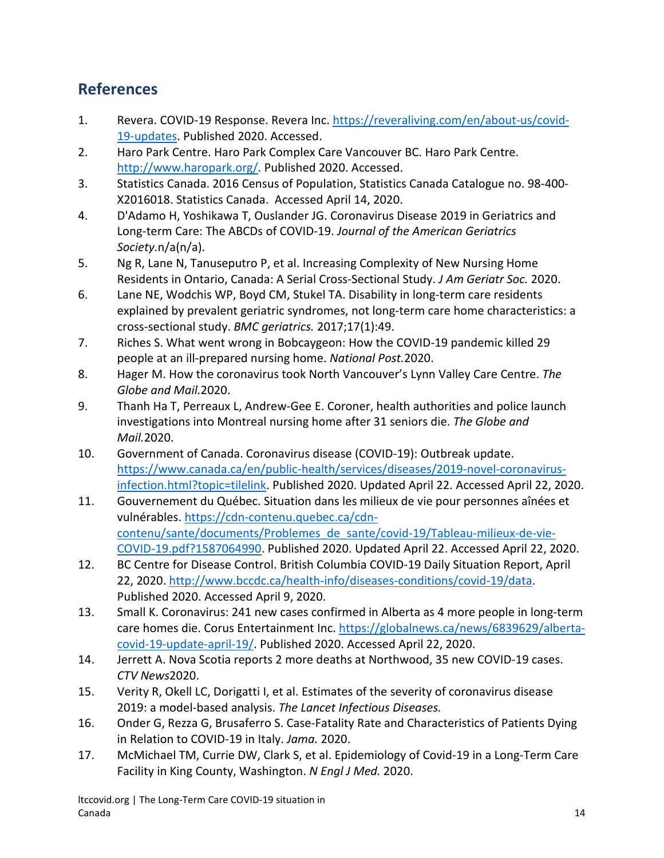# **References**

- 1. Revera. COVID-19 Response. Revera Inc. [https://reveraliving.com/en/about-us/covid-](https://reveraliving.com/en/about-us/covid-19-updates)[19-updates.](https://reveraliving.com/en/about-us/covid-19-updates) Published 2020. Accessed.
- 2. Haro Park Centre. Haro Park Complex Care Vancouver BC. Haro Park Centre. [http://www.haropark.org/.](http://www.haropark.org/) Published 2020. Accessed.
- 3. Statistics Canada. 2016 Census of Population, Statistics Canada Catalogue no. 98-400- X2016018. Statistics Canada. Accessed April 14, 2020.
- 4. D'Adamo H, Yoshikawa T, Ouslander JG. Coronavirus Disease 2019 in Geriatrics and Long-term Care: The ABCDs of COVID-19. *Journal of the American Geriatrics Society.*n/a(n/a).
- 5. Ng R, Lane N, Tanuseputro P, et al. Increasing Complexity of New Nursing Home Residents in Ontario, Canada: A Serial Cross-Sectional Study. *J Am Geriatr Soc.* 2020.
- 6. Lane NE, Wodchis WP, Boyd CM, Stukel TA. Disability in long-term care residents explained by prevalent geriatric syndromes, not long-term care home characteristics: a cross-sectional study. *BMC geriatrics.* 2017;17(1):49.
- 7. Riches S. What went wrong in Bobcaygeon: How the COVID-19 pandemic killed 29 people at an ill-prepared nursing home. *National Post.*2020.
- 8. Hager M. How the coronavirus took North Vancouver's Lynn Valley Care Centre. *The Globe and Mail.*2020.
- 9. Thanh Ha T, Perreaux L, Andrew-Gee E. Coroner, health authorities and police launch investigations into Montreal nursing home after 31 seniors die. *The Globe and Mail.*2020.
- 10. Government of Canada. Coronavirus disease (COVID-19): Outbreak update. [https://www.canada.ca/en/public-health/services/diseases/2019-novel-coronavirus](https://www.canada.ca/en/public-health/services/diseases/2019-novel-coronavirus-infection.html?topic=tilelink)[infection.html?topic=tilelink.](https://www.canada.ca/en/public-health/services/diseases/2019-novel-coronavirus-infection.html?topic=tilelink) Published 2020. Updated April 22. Accessed April 22, 2020.
- 11. Gouvernement du Québec. Situation dans les milieux de vie pour personnes aînées et vulnérables. [https://cdn-contenu.quebec.ca/cdn](https://cdn-contenu.quebec.ca/cdn-contenu/sante/documents/Problemes_de_sante/covid-19/Tableau-milieux-de-vie-COVID-19.pdf?1587064990)[contenu/sante/documents/Problemes\\_de\\_sante/covid-19/Tableau-milieux-de-vie-](https://cdn-contenu.quebec.ca/cdn-contenu/sante/documents/Problemes_de_sante/covid-19/Tableau-milieux-de-vie-COVID-19.pdf?1587064990)[COVID-19.pdf?1587064990.](https://cdn-contenu.quebec.ca/cdn-contenu/sante/documents/Problemes_de_sante/covid-19/Tableau-milieux-de-vie-COVID-19.pdf?1587064990) Published 2020. Updated April 22. Accessed April 22, 2020.
- 12. BC Centre for Disease Control. British Columbia COVID-19 Daily Situation Report, April 22, 2020. [http://www.bccdc.ca/health-info/diseases-conditions/covid-19/data.](http://www.bccdc.ca/health-info/diseases-conditions/covid-19/data) Published 2020. Accessed April 9, 2020.
- 13. Small K. Coronavirus: 241 new cases confirmed in Alberta as 4 more people in long-term care homes die. Corus Entertainment Inc. [https://globalnews.ca/news/6839629/alberta](https://globalnews.ca/news/6839629/alberta-covid-19-update-april-19/)[covid-19-update-april-19/.](https://globalnews.ca/news/6839629/alberta-covid-19-update-april-19/) Published 2020. Accessed April 22, 2020.
- 14. Jerrett A. Nova Scotia reports 2 more deaths at Northwood, 35 new COVID-19 cases. *CTV News*2020.
- 15. Verity R, Okell LC, Dorigatti I, et al. Estimates of the severity of coronavirus disease 2019: a model-based analysis. *The Lancet Infectious Diseases.*
- 16. Onder G, Rezza G, Brusaferro S. Case-Fatality Rate and Characteristics of Patients Dying in Relation to COVID-19 in Italy. *Jama.* 2020.
- 17. McMichael TM, Currie DW, Clark S, et al. Epidemiology of Covid-19 in a Long-Term Care Facility in King County, Washington. *N Engl J Med.* 2020.